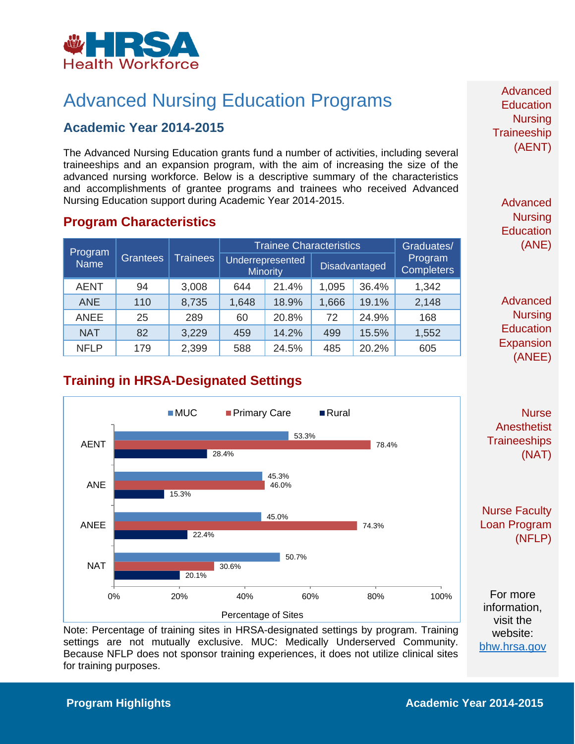

# Advanced Nursing Education Programs

### **Academic Year 2014-2015**

The Advanced Nursing Education grants fund a number of activities, including several traineeships and an expansion program, with the aim of increasing the size of the advanced nursing workforce. Below is a descriptive summary of the characteristics and accomplishments of grantee programs and trainees who received Advanced Nursing Education support during Academic Year 2014-2015.

#### **Program Characteristics**

| Program<br><b>Name</b> | <b>Grantees</b> | <b>Trainees</b> | <b>Trainee Characteristics</b> |                                     |               |       | Graduates/                   |
|------------------------|-----------------|-----------------|--------------------------------|-------------------------------------|---------------|-------|------------------------------|
|                        |                 |                 |                                | Underrepresented<br><b>Minority</b> | Disadvantaged |       | Program<br><b>Completers</b> |
| <b>AENT</b>            | 94              | 3,008           | 644                            | 21.4%                               | 1,095         | 36.4% | 1,342                        |
| <b>ANE</b>             | 110             | 8,735           | 1,648                          | 18.9%                               | 1,666         | 19.1% | 2,148                        |
| <b>ANEE</b>            | 25              | 289             | 60                             | 20.8%                               | 72            | 24.9% | 168                          |
| <b>NAT</b>             | 82              | 3,229           | 459                            | 14.2%                               | 499           | 15.5% | 1,552                        |
| <b>NFLP</b>            | 179             | 2,399           | 588                            | 24.5%                               | 485           | 20.2% | 605                          |

Advanced **Education Nursing Traineeship** (AENT)

> Advanced **Nursing Education** (ANE)

Advanced **Nursing Education Expansion** (ANEE)

# **Training in HRSA-Designated Settings**



Note: Percentage of training sites in HRSA-designated settings by program. Training settings are not mutually exclusive. MUC: Medically Underserved Community. Because NFLP does not sponsor training experiences, it does not utilize clinical sites for training purposes.

**Anesthetist Traineeships** (NAT)

Nurse Faculty Loan Program (NFLP)

website: [bhw.hrsa.gov](http://bhw.hrsa.gov/)